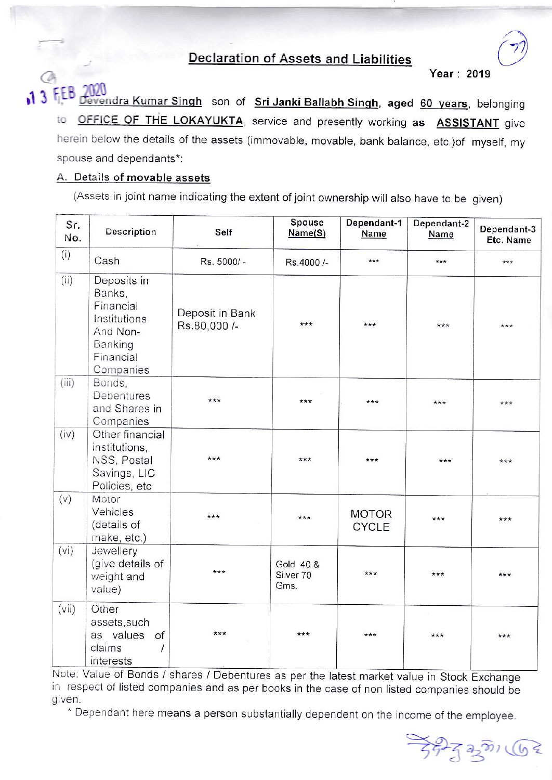## **Declaration of Assets and Liabilities**

Year: 2019

levendra Kumar Singh son of Sri Janki Ballabh Singh, aged 60 years, belonging OFFICE OF THE LOKAYUKTA, service and presently working as **ASSISTANT** give to herein below the details of the assets (immovable, movable, bank balance, etc.) of myself, my spouse and dependants\*:

## A. Details of movable assets

(Assets in joint name indicating the extent of joint ownership will also have to be given)

| Sr.<br>No. | Description                                                                                         | Self                            | Spouse<br>Name(S)              | Dependant-1<br>Name          | Dependant-2<br>Name | Dependant-3<br>Etc. Name |
|------------|-----------------------------------------------------------------------------------------------------|---------------------------------|--------------------------------|------------------------------|---------------------|--------------------------|
| (i)        | Cash                                                                                                | Rs. 5000/-                      | Rs.4000 /-                     | $***$                        | ***                 | ***                      |
| (ii)       | Deposits in<br>Banks,<br>Financial<br>Institutions<br>And Non-<br>Banking<br>Financial<br>Companies | Deposit in Bank<br>Rs.80,000 /- | ***                            | ***                          | ***                 | $***$                    |
| (iii)      | Bonds,<br>Debentures<br>and Shares in<br>Companies                                                  | $***$                           | ***                            | $***$                        | ***                 | ***                      |
| (iv)       | Other financial<br>institutions,<br>NSS, Postal<br>Savings, LIC<br>Policies, etc                    | ***                             | ***                            | ***                          | ***                 | ***                      |
| (v)        | Motor<br>Vehicles<br>(details of<br>make, etc.)                                                     | ***                             | ***                            | <b>MOTOR</b><br><b>CYCLE</b> | ***                 | ***                      |
| (vi)       | Jewellery<br>(give details of<br>weight and<br>value)                                               | ***                             | Gold 40 &<br>Silver 70<br>Gms. | $***$                        | $***$               | ***                      |
| (vii)      | Other<br>assets, such<br>as values<br>of<br>claims<br>$\prime$<br>interests                         | ***                             | $***$                          | ***                          | $***$               | ***                      |

Note: Value of Bonds / shares / Debentures as per the latest market value in Stock Exchange in respect of listed companies and as per books in the case of non listed companies should be given.

\* Dependant here means a person substantially dependent on the income of the employee.

 $377220$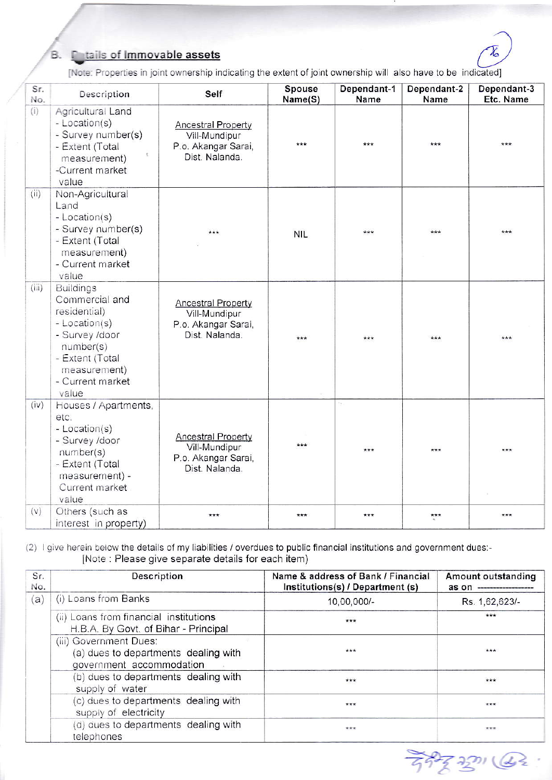## **C**tails of Immovable assets

B.



[Note: Properties in joint ownership indicating the extent of joint ownership will also have to be indicated]

| Sr.<br>No. | Description                                                                                                                                                        | Self                                                                                | <b>Spouse</b><br>Name(S) | Dependant-1<br>Name | Dependant-2<br>Name | Dependant-3<br>Etc. Name |
|------------|--------------------------------------------------------------------------------------------------------------------------------------------------------------------|-------------------------------------------------------------------------------------|--------------------------|---------------------|---------------------|--------------------------|
| (i)        | Agricultural Land<br>- Location(s)<br>- Survey number(s)<br>- Extent (Total<br>measurement)<br>-Current market<br>value                                            | <b>Ancestral Property</b><br>Vill-Mundipur<br>P.o. Akangar Sarai,<br>Dist. Nalanda. | ***                      | ***                 | $***$               | ***                      |
| (ii)       | Non-Agricultural<br>Land<br>- Location(s)<br>- Survey number(s)<br>- Extent (Total<br>measurement)<br>- Current market<br>value                                    | $***$                                                                               | <b>NIL</b>               | ***                 | ***                 | ***                      |
| (iii)      | <b>Buildings</b><br>Commercial and<br>residential)<br>- Location(s)<br>- Survey /door<br>number(s)<br>- Extent (Total<br>measurement)<br>- Current market<br>value | <b>Ancestral Property</b><br>Vill-Mundipur<br>P.o. Akangar Sarai,<br>Dist. Nalanda. | $+ + +$                  | $***$               | $***$               | ***                      |
| (iv)       | Houses / Apartments,<br>etc.<br>- Location(s)<br>- Survey /door<br>number(s)<br>- Extent (Total<br>measurement) -<br>Current market<br>value                       | <b>Ancestral Property</b><br>Vill-Mundipur<br>P.o. Akangar Sarai,<br>Dist. Nalanda. | ***                      | h,<br>***           | ***                 | ***                      |
| (v)        | Others (such as<br>interest in property)                                                                                                                           | ***                                                                                 | ***                      | ***                 | $***$               | ***                      |

(2) I give herein below the details of my liabilities / overdues to public financial institutions and government dues:-[Note : Please give separate details for each item)

| Sr.<br>No. | Description                                                                                | Name & address of Bank / Financial<br>Institutions(s) / Department (s) | <b>Amount outstanding</b><br>as on |
|------------|--------------------------------------------------------------------------------------------|------------------------------------------------------------------------|------------------------------------|
| (a)        | (i) Loans from Banks                                                                       | 10,00,000/-                                                            | Rs. 1,62,623/-                     |
|            | (ii) Loans from financial institutions<br>H.B.A. By Govt. of Bihar - Principal             | $***$                                                                  | ***                                |
|            | (iii) Government Dues:<br>(a) dues to departments dealing with<br>government accommodation | ***                                                                    | ***                                |
|            | (b) dues to departments dealing with<br>supply of water                                    | ***                                                                    | ***                                |
|            | (c) dues to departments dealing with<br>supply of electricity                              | $***$                                                                  | ***                                |
|            | (d) dues to departments dealing with<br>telephones                                         | $***$                                                                  |                                    |

万中文吧 (42